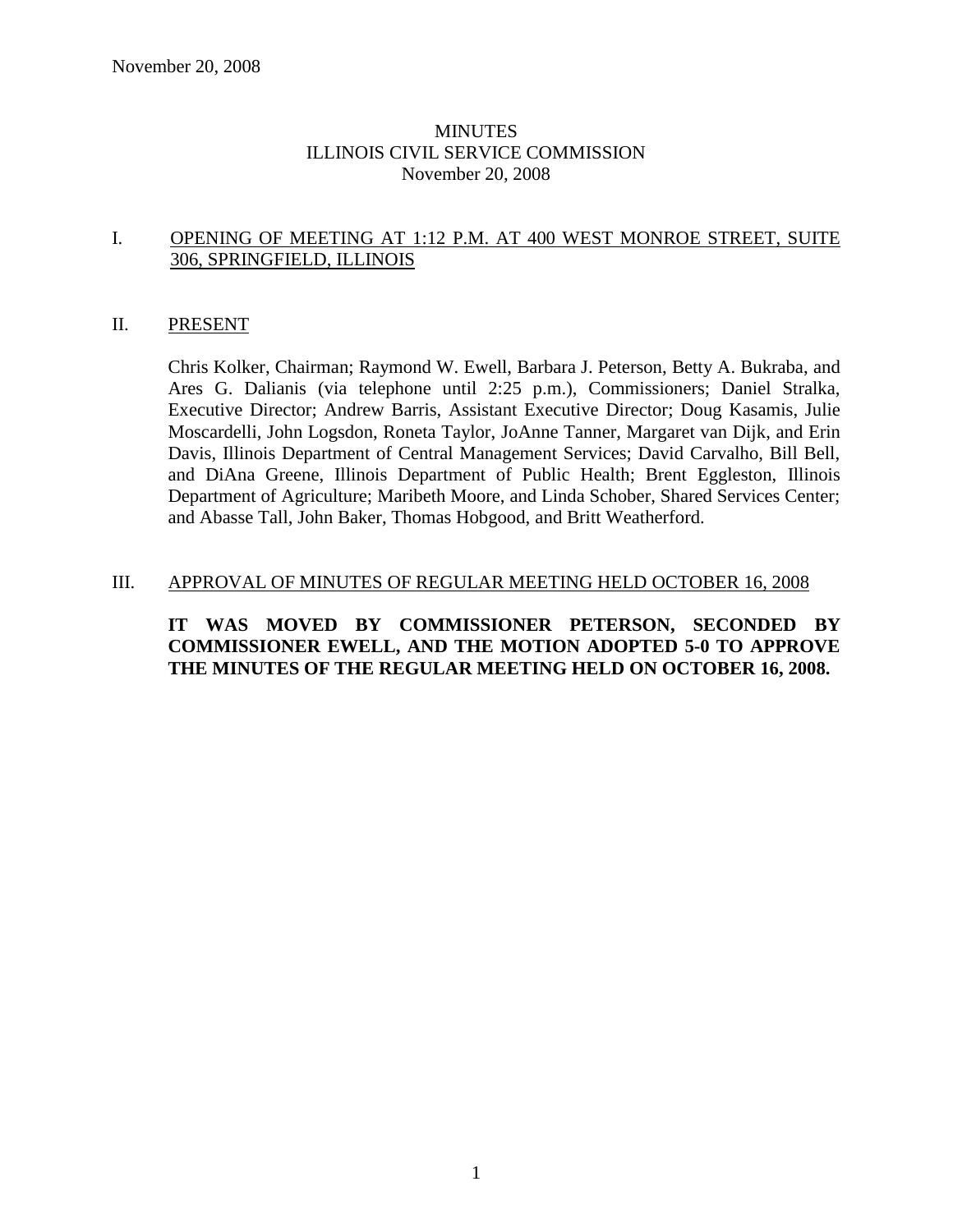## MINUTES ILLINOIS CIVIL SERVICE COMMISSION November 20, 2008

#### I. OPENING OF MEETING AT 1:12 P.M. AT 400 WEST MONROE STREET, SUITE 306, SPRINGFIELD, ILLINOIS

#### II. PRESENT

Chris Kolker, Chairman; Raymond W. Ewell, Barbara J. Peterson, Betty A. Bukraba, and Ares G. Dalianis (via telephone until 2:25 p.m.), Commissioners; Daniel Stralka, Executive Director; Andrew Barris, Assistant Executive Director; Doug Kasamis, Julie Moscardelli, John Logsdon, Roneta Taylor, JoAnne Tanner, Margaret van Dijk, and Erin Davis, Illinois Department of Central Management Services; David Carvalho, Bill Bell, and DiAna Greene, Illinois Department of Public Health; Brent Eggleston, Illinois Department of Agriculture; Maribeth Moore, and Linda Schober, Shared Services Center; and Abasse Tall, John Baker, Thomas Hobgood, and Britt Weatherford.

#### III. APPROVAL OF MINUTES OF REGULAR MEETING HELD OCTOBER 16, 2008

# **IT WAS MOVED BY COMMISSIONER PETERSON, SECONDED BY COMMISSIONER EWELL, AND THE MOTION ADOPTED 5-0 TO APPROVE THE MINUTES OF THE REGULAR MEETING HELD ON OCTOBER 16, 2008.**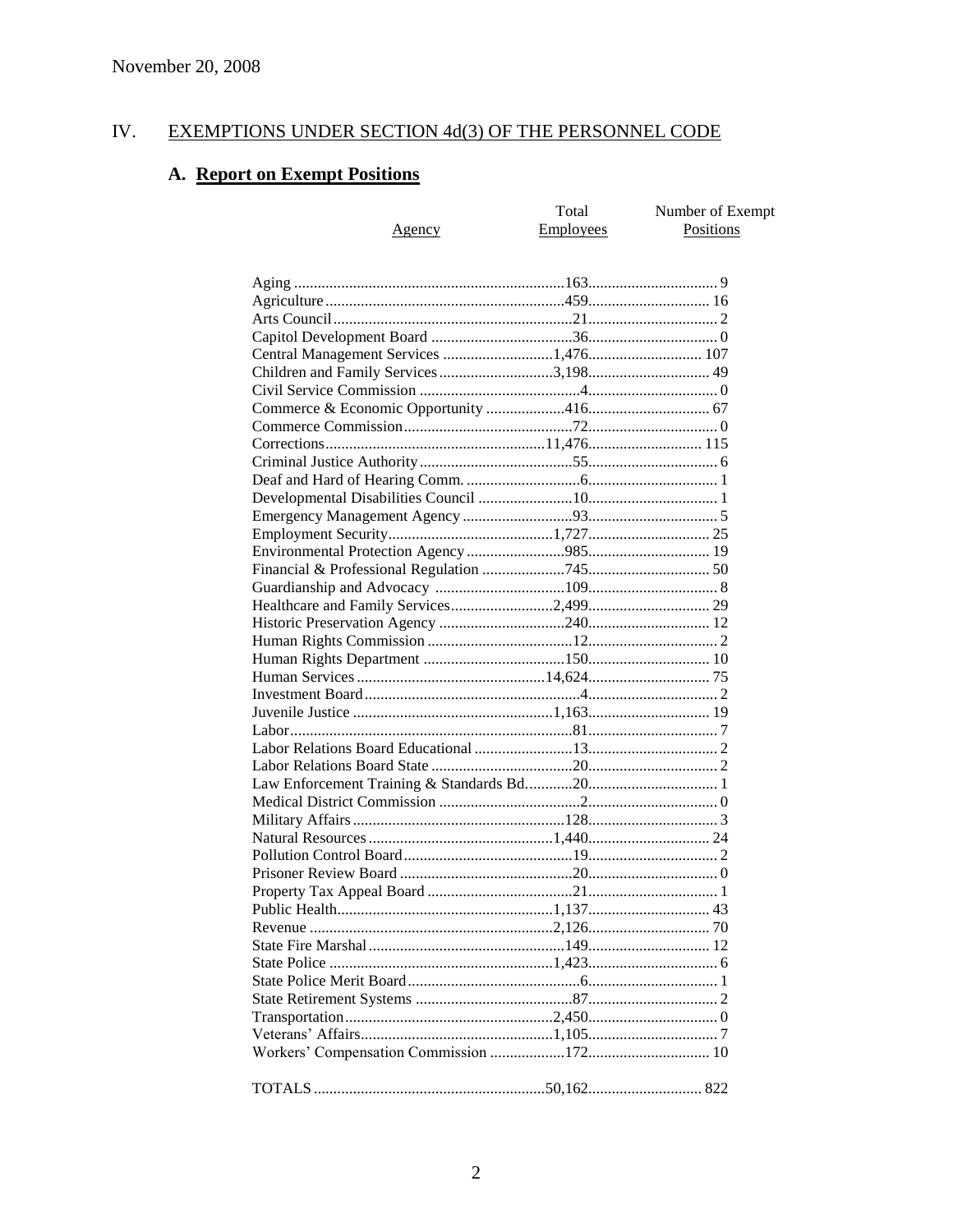#### EXEMPTIONS UNDER SECTION 4d(3) OF THE PERSONNEL CODE IV.

# A. Report on Exempt Positions

|                                                                                | Total            | Number of Exempt |
|--------------------------------------------------------------------------------|------------------|------------------|
| <u>Agency</u>                                                                  | <b>Employees</b> | Positions        |
|                                                                                |                  |                  |
|                                                                                |                  |                  |
|                                                                                |                  |                  |
|                                                                                |                  |                  |
|                                                                                |                  |                  |
|                                                                                |                  |                  |
| Central Management Services 1,476 107<br>Children and Family Services 3,198 49 |                  |                  |
|                                                                                |                  |                  |
|                                                                                |                  |                  |
|                                                                                |                  |                  |
|                                                                                |                  |                  |
|                                                                                |                  |                  |
|                                                                                |                  |                  |
|                                                                                |                  |                  |
|                                                                                |                  |                  |
|                                                                                |                  |                  |
|                                                                                |                  |                  |
|                                                                                |                  |                  |
|                                                                                |                  |                  |
|                                                                                |                  |                  |
|                                                                                |                  |                  |
|                                                                                |                  |                  |
|                                                                                |                  |                  |
|                                                                                |                  |                  |
|                                                                                |                  |                  |
|                                                                                |                  |                  |
|                                                                                |                  |                  |
|                                                                                |                  |                  |
|                                                                                |                  |                  |
|                                                                                |                  |                  |
|                                                                                |                  |                  |
|                                                                                |                  |                  |
|                                                                                |                  |                  |
|                                                                                |                  |                  |
|                                                                                |                  |                  |
|                                                                                |                  |                  |
|                                                                                |                  |                  |
|                                                                                |                  |                  |
|                                                                                |                  |                  |
|                                                                                |                  |                  |
|                                                                                |                  |                  |
|                                                                                |                  |                  |
|                                                                                |                  |                  |
|                                                                                |                  |                  |
|                                                                                |                  |                  |
|                                                                                |                  |                  |
|                                                                                |                  |                  |
|                                                                                |                  |                  |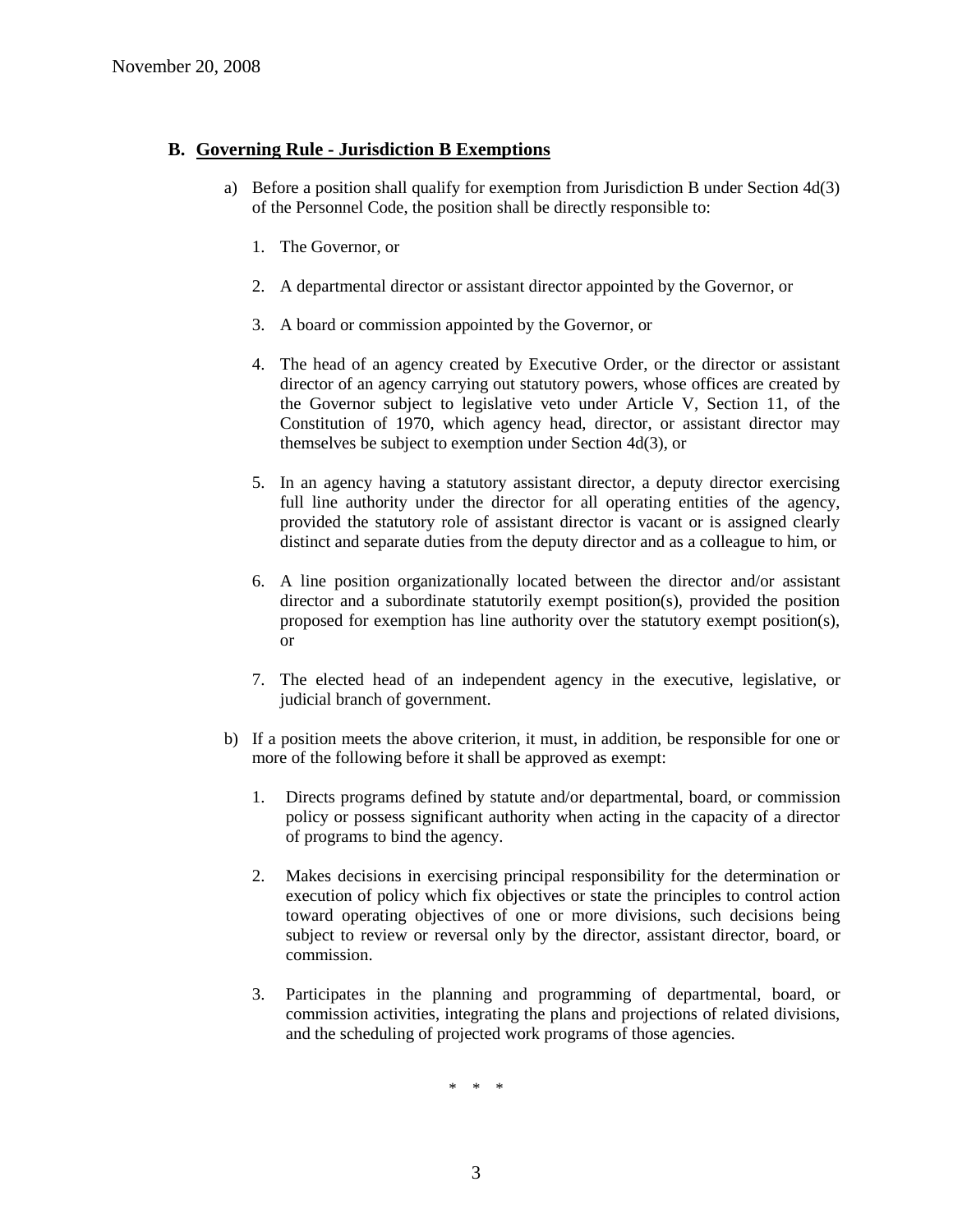# **B. Governing Rule - Jurisdiction B Exemptions**

- a) Before a position shall qualify for exemption from Jurisdiction B under Section 4d(3) of the Personnel Code, the position shall be directly responsible to:
	- 1. The Governor, or
	- 2. A departmental director or assistant director appointed by the Governor, or
	- 3. A board or commission appointed by the Governor, or
	- 4. The head of an agency created by Executive Order, or the director or assistant director of an agency carrying out statutory powers, whose offices are created by the Governor subject to legislative veto under Article V, Section 11, of the Constitution of 1970, which agency head, director, or assistant director may themselves be subject to exemption under Section 4d(3), or
	- 5. In an agency having a statutory assistant director, a deputy director exercising full line authority under the director for all operating entities of the agency, provided the statutory role of assistant director is vacant or is assigned clearly distinct and separate duties from the deputy director and as a colleague to him, or
	- 6. A line position organizationally located between the director and/or assistant director and a subordinate statutorily exempt position(s), provided the position proposed for exemption has line authority over the statutory exempt position(s), or
	- 7. The elected head of an independent agency in the executive, legislative, or judicial branch of government.
- b) If a position meets the above criterion, it must, in addition, be responsible for one or more of the following before it shall be approved as exempt:
	- 1. Directs programs defined by statute and/or departmental, board, or commission policy or possess significant authority when acting in the capacity of a director of programs to bind the agency.
	- 2. Makes decisions in exercising principal responsibility for the determination or execution of policy which fix objectives or state the principles to control action toward operating objectives of one or more divisions, such decisions being subject to review or reversal only by the director, assistant director, board, or commission.
	- 3. Participates in the planning and programming of departmental, board, or commission activities, integrating the plans and projections of related divisions, and the scheduling of projected work programs of those agencies.

\* \* \*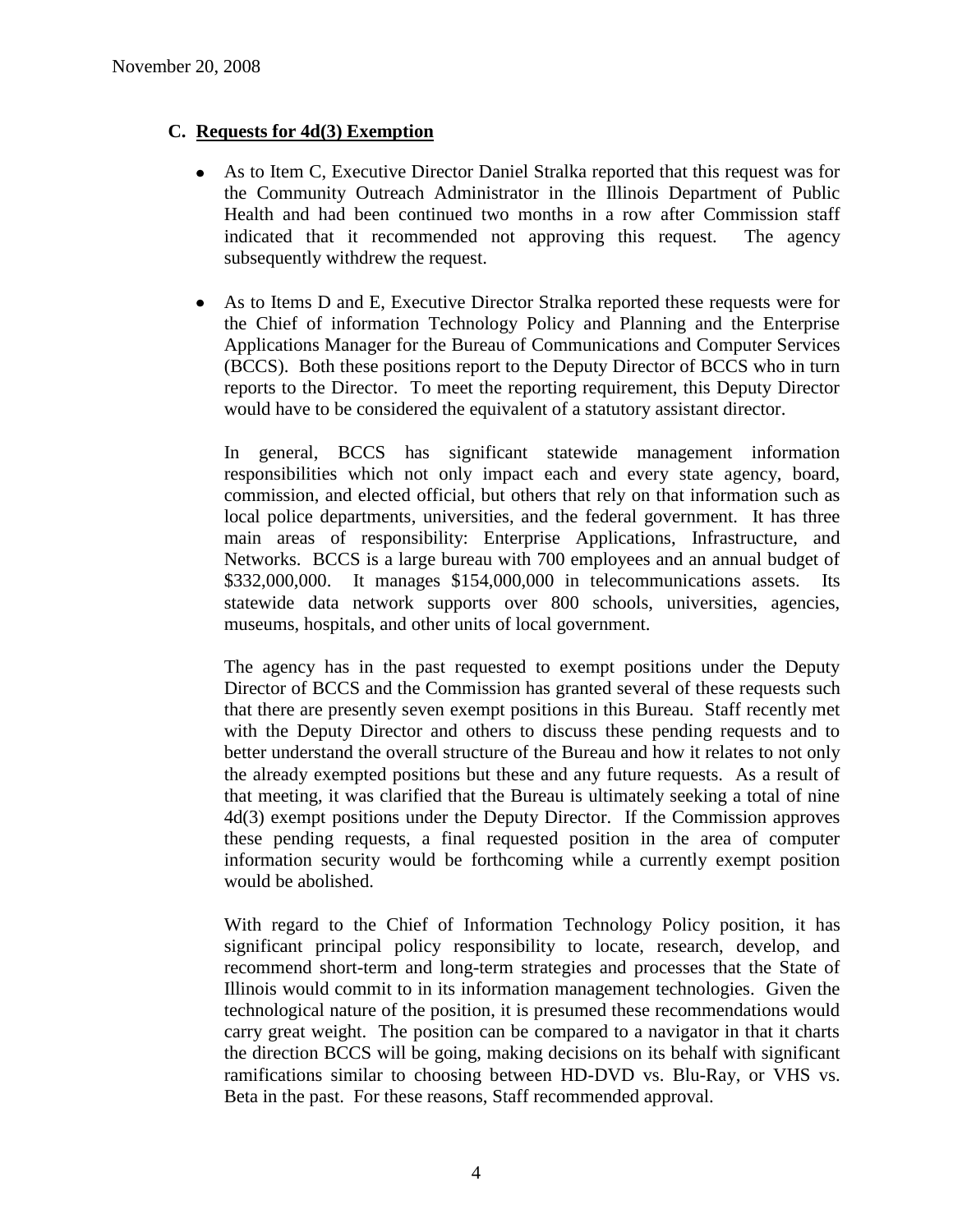# **C. Requests for 4d(3) Exemption**

- As to Item C, Executive Director Daniel Stralka reported that this request was for the Community Outreach Administrator in the Illinois Department of Public Health and had been continued two months in a row after Commission staff indicated that it recommended not approving this request. The agency subsequently withdrew the request.
- As to Items D and E, Executive Director Stralka reported these requests were for  $\bullet$ the Chief of information Technology Policy and Planning and the Enterprise Applications Manager for the Bureau of Communications and Computer Services (BCCS). Both these positions report to the Deputy Director of BCCS who in turn reports to the Director. To meet the reporting requirement, this Deputy Director would have to be considered the equivalent of a statutory assistant director.

In general, BCCS has significant statewide management information responsibilities which not only impact each and every state agency, board, commission, and elected official, but others that rely on that information such as local police departments, universities, and the federal government. It has three main areas of responsibility: Enterprise Applications, Infrastructure, and Networks. BCCS is a large bureau with 700 employees and an annual budget of \$332,000,000. It manages \$154,000,000 in telecommunications assets. Its statewide data network supports over 800 schools, universities, agencies, museums, hospitals, and other units of local government.

The agency has in the past requested to exempt positions under the Deputy Director of BCCS and the Commission has granted several of these requests such that there are presently seven exempt positions in this Bureau. Staff recently met with the Deputy Director and others to discuss these pending requests and to better understand the overall structure of the Bureau and how it relates to not only the already exempted positions but these and any future requests. As a result of that meeting, it was clarified that the Bureau is ultimately seeking a total of nine 4d(3) exempt positions under the Deputy Director. If the Commission approves these pending requests, a final requested position in the area of computer information security would be forthcoming while a currently exempt position would be abolished.

With regard to the Chief of Information Technology Policy position, it has significant principal policy responsibility to locate, research, develop, and recommend short-term and long-term strategies and processes that the State of Illinois would commit to in its information management technologies. Given the technological nature of the position, it is presumed these recommendations would carry great weight. The position can be compared to a navigator in that it charts the direction BCCS will be going, making decisions on its behalf with significant ramifications similar to choosing between HD-DVD vs. Blu-Ray, or VHS vs. Beta in the past. For these reasons, Staff recommended approval.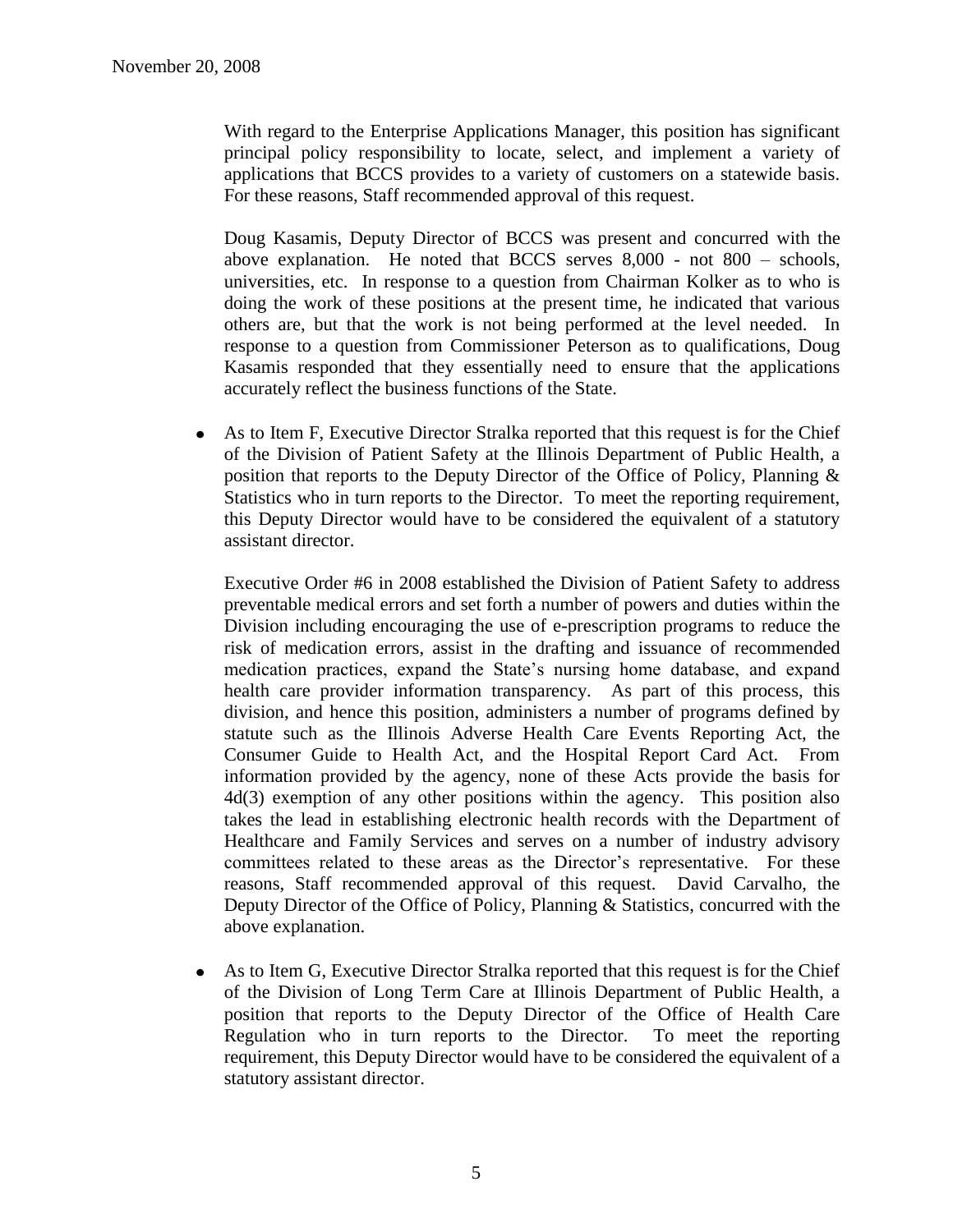With regard to the Enterprise Applications Manager, this position has significant principal policy responsibility to locate, select, and implement a variety of applications that BCCS provides to a variety of customers on a statewide basis. For these reasons, Staff recommended approval of this request.

Doug Kasamis, Deputy Director of BCCS was present and concurred with the above explanation. He noted that BCCS serves 8,000 - not 800 – schools, universities, etc. In response to a question from Chairman Kolker as to who is doing the work of these positions at the present time, he indicated that various others are, but that the work is not being performed at the level needed. In response to a question from Commissioner Peterson as to qualifications, Doug Kasamis responded that they essentially need to ensure that the applications accurately reflect the business functions of the State.

As to Item F, Executive Director Stralka reported that this request is for the Chief  $\bullet$ of the Division of Patient Safety at the Illinois Department of Public Health, a position that reports to the Deputy Director of the Office of Policy, Planning & Statistics who in turn reports to the Director. To meet the reporting requirement, this Deputy Director would have to be considered the equivalent of a statutory assistant director.

Executive Order #6 in 2008 established the Division of Patient Safety to address preventable medical errors and set forth a number of powers and duties within the Division including encouraging the use of e-prescription programs to reduce the risk of medication errors, assist in the drafting and issuance of recommended medication practices, expand the State's nursing home database, and expand health care provider information transparency. As part of this process, this division, and hence this position, administers a number of programs defined by statute such as the Illinois Adverse Health Care Events Reporting Act, the Consumer Guide to Health Act, and the Hospital Report Card Act. From information provided by the agency, none of these Acts provide the basis for 4d(3) exemption of any other positions within the agency. This position also takes the lead in establishing electronic health records with the Department of Healthcare and Family Services and serves on a number of industry advisory committees related to these areas as the Director's representative. For these reasons, Staff recommended approval of this request. David Carvalho, the Deputy Director of the Office of Policy, Planning & Statistics, concurred with the above explanation.

As to Item G, Executive Director Stralka reported that this request is for the Chief  $\bullet$ of the Division of Long Term Care at Illinois Department of Public Health, a position that reports to the Deputy Director of the Office of Health Care Regulation who in turn reports to the Director. To meet the reporting requirement, this Deputy Director would have to be considered the equivalent of a statutory assistant director.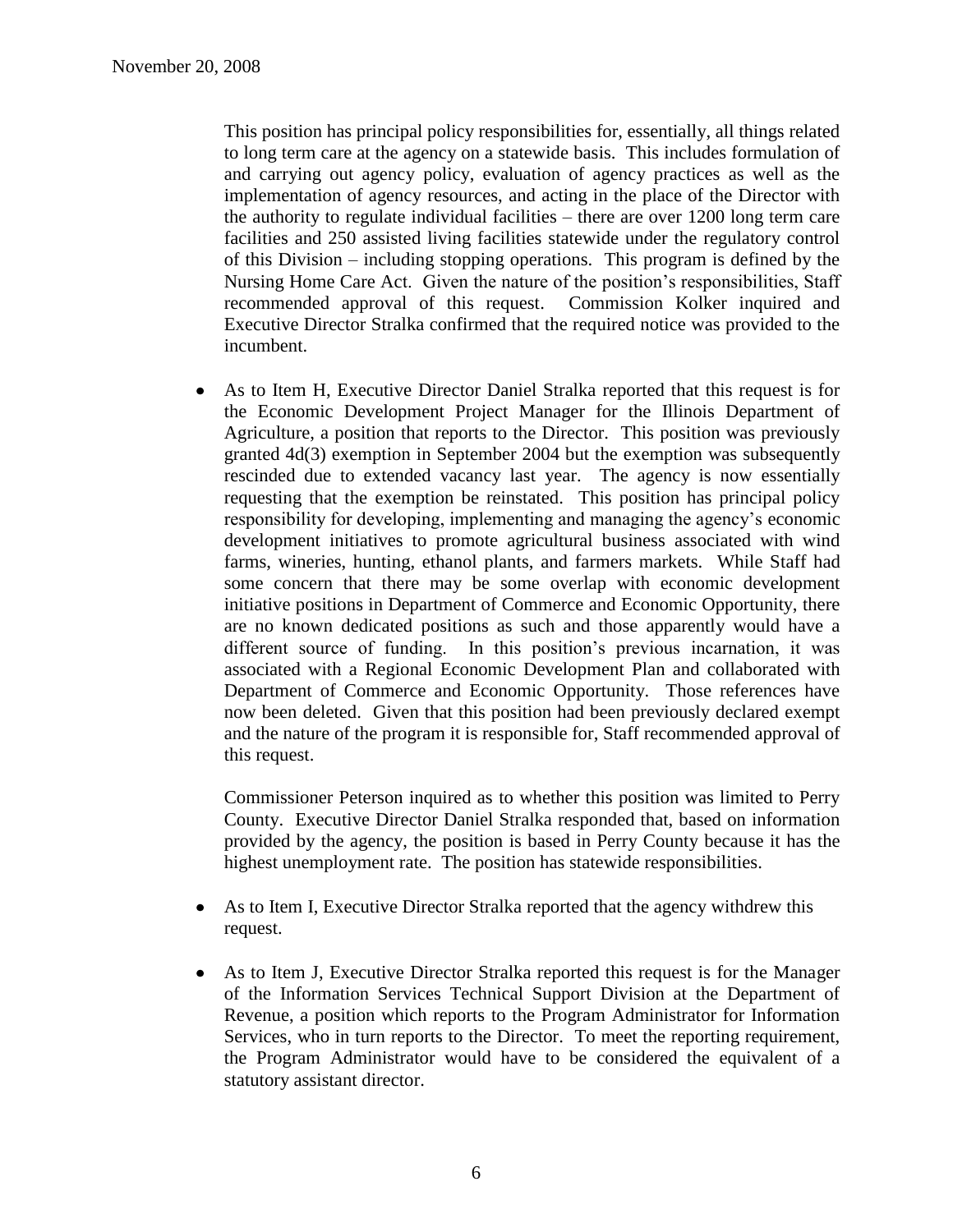This position has principal policy responsibilities for, essentially, all things related to long term care at the agency on a statewide basis. This includes formulation of and carrying out agency policy, evaluation of agency practices as well as the implementation of agency resources, and acting in the place of the Director with the authority to regulate individual facilities – there are over 1200 long term care facilities and 250 assisted living facilities statewide under the regulatory control of this Division – including stopping operations. This program is defined by the Nursing Home Care Act. Given the nature of the position's responsibilities, Staff recommended approval of this request. Commission Kolker inquired and Executive Director Stralka confirmed that the required notice was provided to the incumbent.

As to Item H, Executive Director Daniel Stralka reported that this request is for  $\bullet$ the Economic Development Project Manager for the Illinois Department of Agriculture, a position that reports to the Director. This position was previously granted 4d(3) exemption in September 2004 but the exemption was subsequently rescinded due to extended vacancy last year. The agency is now essentially requesting that the exemption be reinstated. This position has principal policy responsibility for developing, implementing and managing the agency's economic development initiatives to promote agricultural business associated with wind farms, wineries, hunting, ethanol plants, and farmers markets. While Staff had some concern that there may be some overlap with economic development initiative positions in Department of Commerce and Economic Opportunity, there are no known dedicated positions as such and those apparently would have a different source of funding. In this position's previous incarnation, it was associated with a Regional Economic Development Plan and collaborated with Department of Commerce and Economic Opportunity. Those references have now been deleted. Given that this position had been previously declared exempt and the nature of the program it is responsible for, Staff recommended approval of this request.

Commissioner Peterson inquired as to whether this position was limited to Perry County. Executive Director Daniel Stralka responded that, based on information provided by the agency, the position is based in Perry County because it has the highest unemployment rate. The position has statewide responsibilities.

- As to Item I, Executive Director Stralka reported that the agency withdrew this request.
- $\bullet$ As to Item J, Executive Director Stralka reported this request is for the Manager of the Information Services Technical Support Division at the Department of Revenue, a position which reports to the Program Administrator for Information Services, who in turn reports to the Director. To meet the reporting requirement, the Program Administrator would have to be considered the equivalent of a statutory assistant director.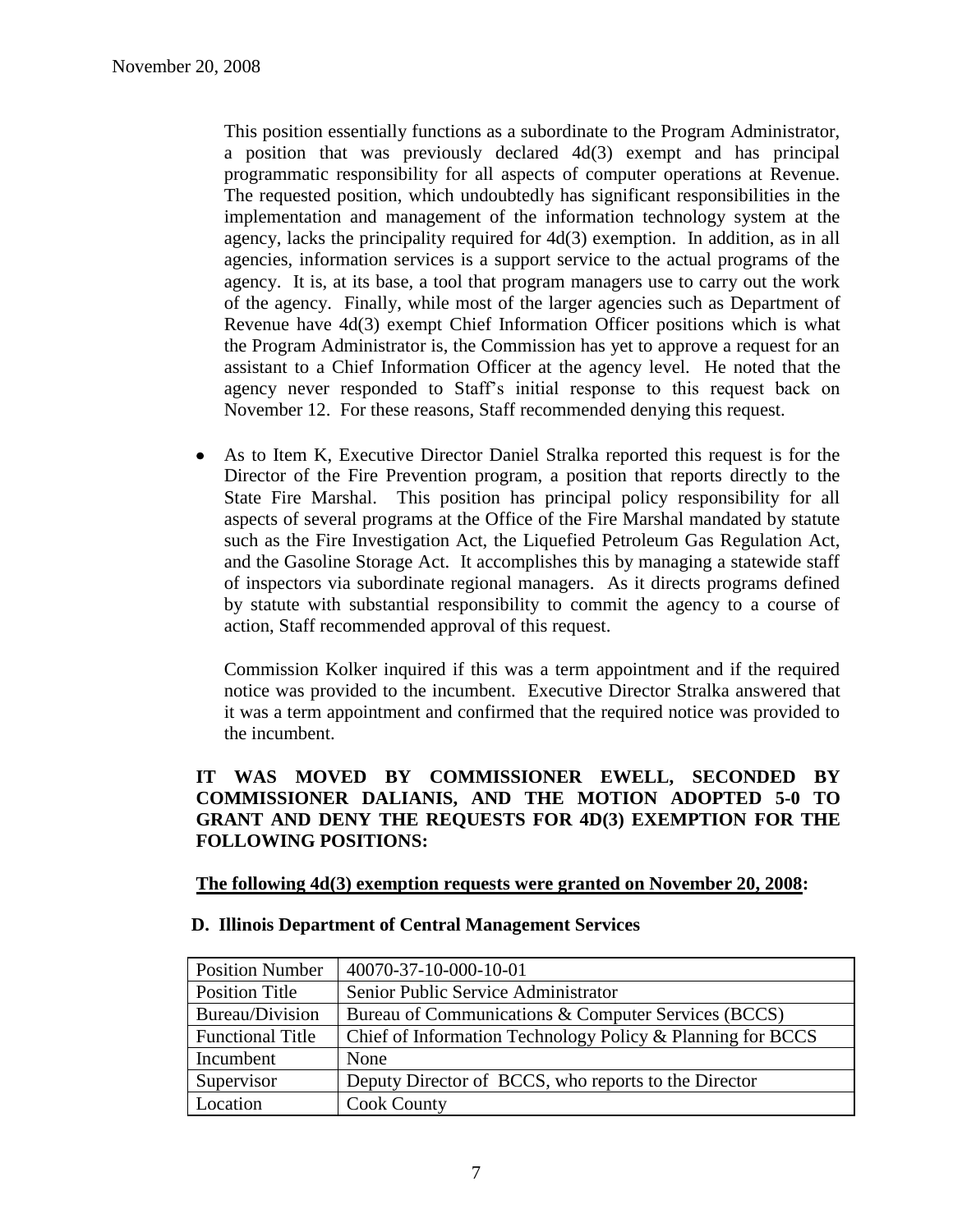This position essentially functions as a subordinate to the Program Administrator, a position that was previously declared 4d(3) exempt and has principal programmatic responsibility for all aspects of computer operations at Revenue. The requested position, which undoubtedly has significant responsibilities in the implementation and management of the information technology system at the agency, lacks the principality required for 4d(3) exemption. In addition, as in all agencies, information services is a support service to the actual programs of the agency. It is, at its base, a tool that program managers use to carry out the work of the agency. Finally, while most of the larger agencies such as Department of Revenue have 4d(3) exempt Chief Information Officer positions which is what the Program Administrator is, the Commission has yet to approve a request for an assistant to a Chief Information Officer at the agency level. He noted that the agency never responded to Staff's initial response to this request back on November 12. For these reasons, Staff recommended denying this request.

As to Item K, Executive Director Daniel Stralka reported this request is for the  $\bullet$ Director of the Fire Prevention program, a position that reports directly to the State Fire Marshal. This position has principal policy responsibility for all aspects of several programs at the Office of the Fire Marshal mandated by statute such as the Fire Investigation Act, the Liquefied Petroleum Gas Regulation Act, and the Gasoline Storage Act. It accomplishes this by managing a statewide staff of inspectors via subordinate regional managers. As it directs programs defined by statute with substantial responsibility to commit the agency to a course of action, Staff recommended approval of this request.

Commission Kolker inquired if this was a term appointment and if the required notice was provided to the incumbent. Executive Director Stralka answered that it was a term appointment and confirmed that the required notice was provided to the incumbent.

# **IT WAS MOVED BY COMMISSIONER EWELL, SECONDED BY COMMISSIONER DALIANIS, AND THE MOTION ADOPTED 5-0 TO GRANT AND DENY THE REQUESTS FOR 4D(3) EXEMPTION FOR THE FOLLOWING POSITIONS:**

# **The following 4d(3) exemption requests were granted on November 20, 2008:**

#### **D. Illinois Department of Central Management Services**

| <b>Position Number</b>  | 40070-37-10-000-10-01                                      |
|-------------------------|------------------------------------------------------------|
| <b>Position Title</b>   | Senior Public Service Administrator                        |
| Bureau/Division         | Bureau of Communications & Computer Services (BCCS)        |
| <b>Functional Title</b> | Chief of Information Technology Policy & Planning for BCCS |
| Incumbent               | None                                                       |
| Supervisor              | Deputy Director of BCCS, who reports to the Director       |
| Location                | <b>Cook County</b>                                         |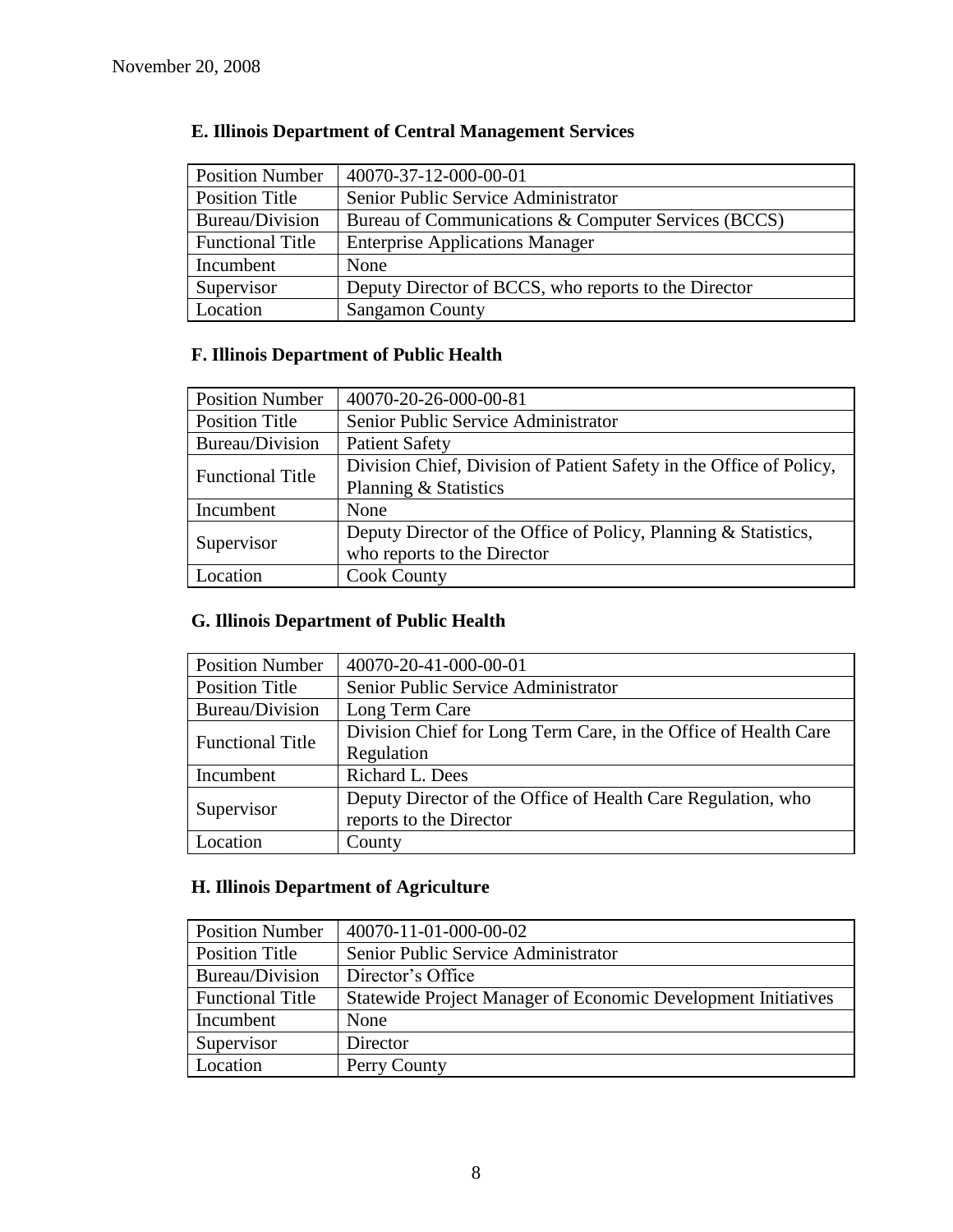| <b>Position Number</b>  | 40070-37-12-000-00-01                                |
|-------------------------|------------------------------------------------------|
| <b>Position Title</b>   | Senior Public Service Administrator                  |
| Bureau/Division         | Bureau of Communications & Computer Services (BCCS)  |
| <b>Functional Title</b> | <b>Enterprise Applications Manager</b>               |
| Incumbent               | None                                                 |
| Supervisor              | Deputy Director of BCCS, who reports to the Director |
| Location                | <b>Sangamon County</b>                               |

# **E. Illinois Department of Central Management Services**

# **F. Illinois Department of Public Health**

| <b>Position Number</b>  | 40070-20-26-000-00-81                                               |
|-------------------------|---------------------------------------------------------------------|
| <b>Position Title</b>   | Senior Public Service Administrator                                 |
| Bureau/Division         | <b>Patient Safety</b>                                               |
| <b>Functional Title</b> | Division Chief, Division of Patient Safety in the Office of Policy, |
|                         | Planning & Statistics                                               |
| Incumbent               | None                                                                |
|                         | Deputy Director of the Office of Policy, Planning & Statistics,     |
| Supervisor              | who reports to the Director                                         |
| Location                | <b>Cook County</b>                                                  |

# **G. Illinois Department of Public Health**

| <b>Position Number</b>  | 40070-20-41-000-00-01                                           |
|-------------------------|-----------------------------------------------------------------|
| <b>Position Title</b>   | Senior Public Service Administrator                             |
| Bureau/Division         | Long Term Care                                                  |
| <b>Functional Title</b> | Division Chief for Long Term Care, in the Office of Health Care |
|                         | Regulation                                                      |
| Incumbent               | Richard L. Dees                                                 |
| Supervisor              | Deputy Director of the Office of Health Care Regulation, who    |
|                         | reports to the Director                                         |
| Location                | County                                                          |

# **H. Illinois Department of Agriculture**

| <b>Position Number</b>  | 40070-11-01-000-00-02                                                |
|-------------------------|----------------------------------------------------------------------|
| Position Title          | Senior Public Service Administrator                                  |
| Bureau/Division         | Director's Office                                                    |
| <b>Functional Title</b> | <b>Statewide Project Manager of Economic Development Initiatives</b> |
| Incumbent               | None                                                                 |
| Supervisor              | Director                                                             |
| Location                | Perry County                                                         |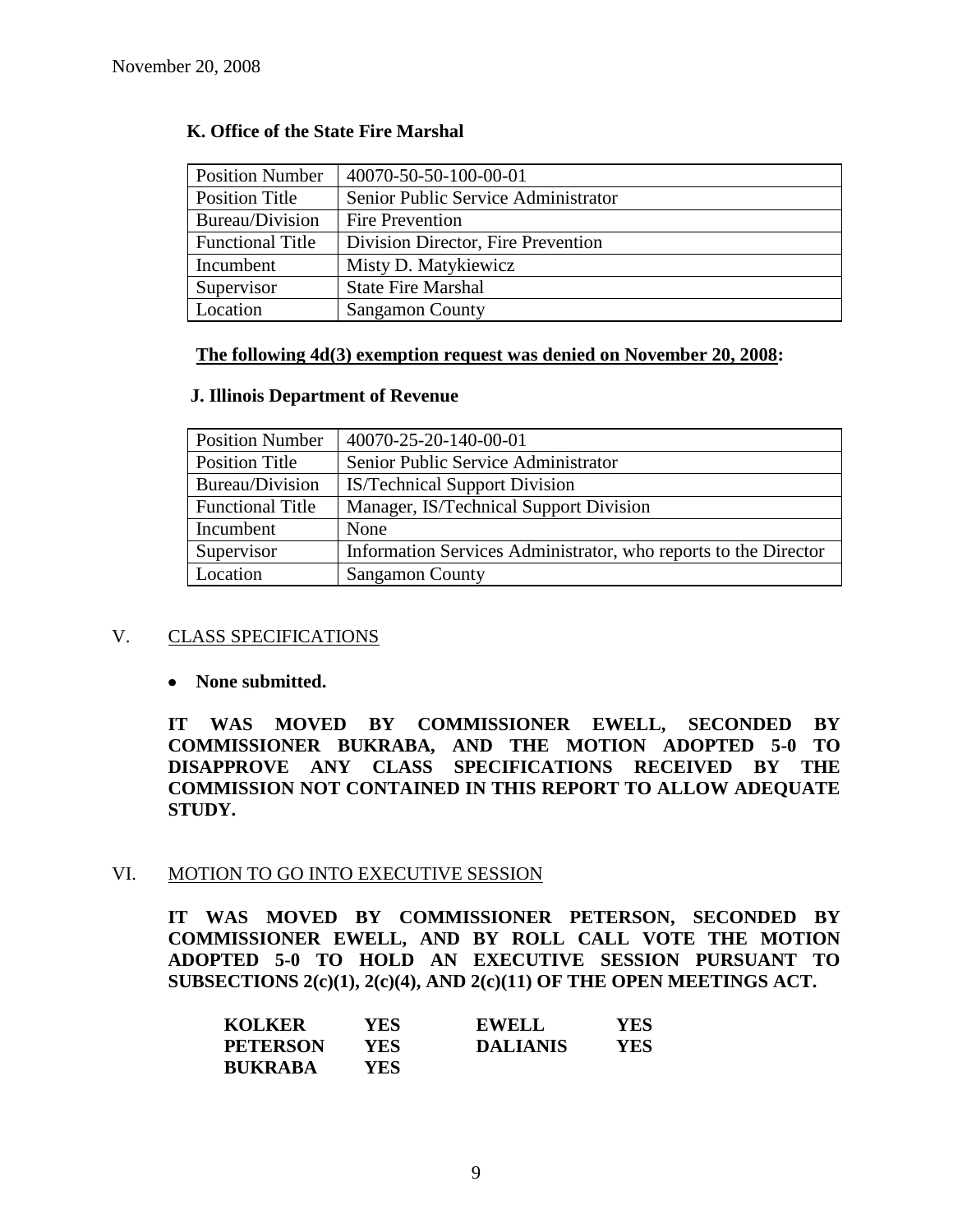| <b>Position Number</b>  | 40070-50-50-100-00-01               |
|-------------------------|-------------------------------------|
| Position Title          | Senior Public Service Administrator |
| Bureau/Division         | Fire Prevention                     |
| <b>Functional Title</b> | Division Director, Fire Prevention  |
| Incumbent               | Misty D. Matykiewicz                |
| Supervisor              | <b>State Fire Marshal</b>           |
| Location                | <b>Sangamon County</b>              |

# **K. Office of the State Fire Marshal**

## **The following 4d(3) exemption request was denied on November 20, 2008:**

#### **J. Illinois Department of Revenue**

| <b>Position Number</b>  | 40070-25-20-140-00-01                                           |
|-------------------------|-----------------------------------------------------------------|
| Position Title          | Senior Public Service Administrator                             |
| Bureau/Division         | <b>IS/Technical Support Division</b>                            |
| <b>Functional Title</b> | Manager, IS/Technical Support Division                          |
| Incumbent               | None                                                            |
| Supervisor              | Information Services Administrator, who reports to the Director |
| Location                | <b>Sangamon County</b>                                          |

# V. CLASS SPECIFICATIONS

#### **None submitted.**

**IT WAS MOVED BY COMMISSIONER EWELL, SECONDED BY COMMISSIONER BUKRABA, AND THE MOTION ADOPTED 5-0 TO DISAPPROVE ANY CLASS SPECIFICATIONS RECEIVED BY THE COMMISSION NOT CONTAINED IN THIS REPORT TO ALLOW ADEQUATE STUDY.** 

#### VI. MOTION TO GO INTO EXECUTIVE SESSION

**IT WAS MOVED BY COMMISSIONER PETERSON, SECONDED BY COMMISSIONER EWELL, AND BY ROLL CALL VOTE THE MOTION ADOPTED 5-0 TO HOLD AN EXECUTIVE SESSION PURSUANT TO SUBSECTIONS 2(c)(1), 2(c)(4), AND 2(c)(11) OF THE OPEN MEETINGS ACT.** 

| <b>KOLKER</b>   | YES  | <b>EWELL</b>    | YES. |
|-----------------|------|-----------------|------|
| <b>PETERSON</b> | YES. | <b>DALIANIS</b> | YES  |
| <b>BUKRABA</b>  | YES. |                 |      |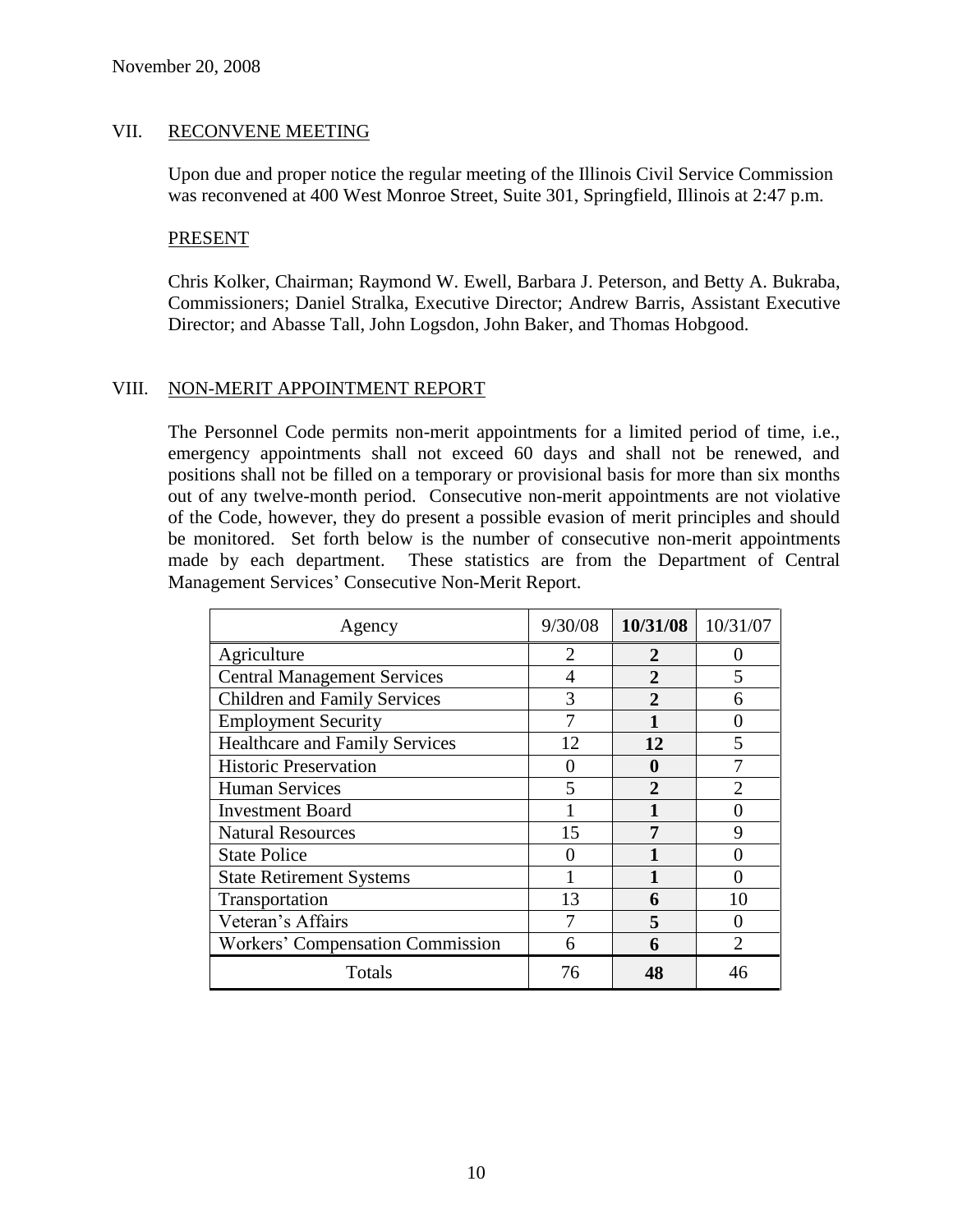#### VII. RECONVENE MEETING

Upon due and proper notice the regular meeting of the Illinois Civil Service Commission was reconvened at 400 West Monroe Street, Suite 301, Springfield, Illinois at 2:47 p.m.

#### PRESENT

Chris Kolker, Chairman; Raymond W. Ewell, Barbara J. Peterson, and Betty A. Bukraba, Commissioners; Daniel Stralka, Executive Director; Andrew Barris, Assistant Executive Director; and Abasse Tall, John Logsdon, John Baker, and Thomas Hobgood.

# VIII. NON-MERIT APPOINTMENT REPORT

The Personnel Code permits non-merit appointments for a limited period of time, i.e., emergency appointments shall not exceed 60 days and shall not be renewed, and positions shall not be filled on a temporary or provisional basis for more than six months out of any twelve-month period. Consecutive non-merit appointments are not violative of the Code, however, they do present a possible evasion of merit principles and should be monitored. Set forth below is the number of consecutive non-merit appointments made by each department. These statistics are from the Department of Central Management Services' Consecutive Non-Merit Report.

| Agency                                  | 9/30/08                     | 10/31/08     | 10/31/07 |
|-----------------------------------------|-----------------------------|--------------|----------|
| Agriculture                             | $\mathcal{D}_{\mathcal{A}}$ | 2            |          |
| <b>Central Management Services</b>      |                             | 2            |          |
| <b>Children and Family Services</b>     | 3                           | 2            | 6        |
| <b>Employment Security</b>              |                             |              |          |
| <b>Healthcare and Family Services</b>   | 12                          | 12           | 5        |
| <b>Historic Preservation</b>            |                             |              |          |
| <b>Human Services</b>                   | 5                           | $\mathbf{2}$ |          |
| <b>Investment Board</b>                 |                             |              |          |
| <b>Natural Resources</b>                | 15                          |              | 9        |
| <b>State Police</b>                     |                             |              |          |
| <b>State Retirement Systems</b>         |                             |              |          |
| Transportation                          | 13                          | 6            | 10       |
| Veteran's Affairs                       |                             | 5            |          |
| <b>Workers' Compensation Commission</b> | 6                           | 6            |          |
| Totals                                  | 76                          |              |          |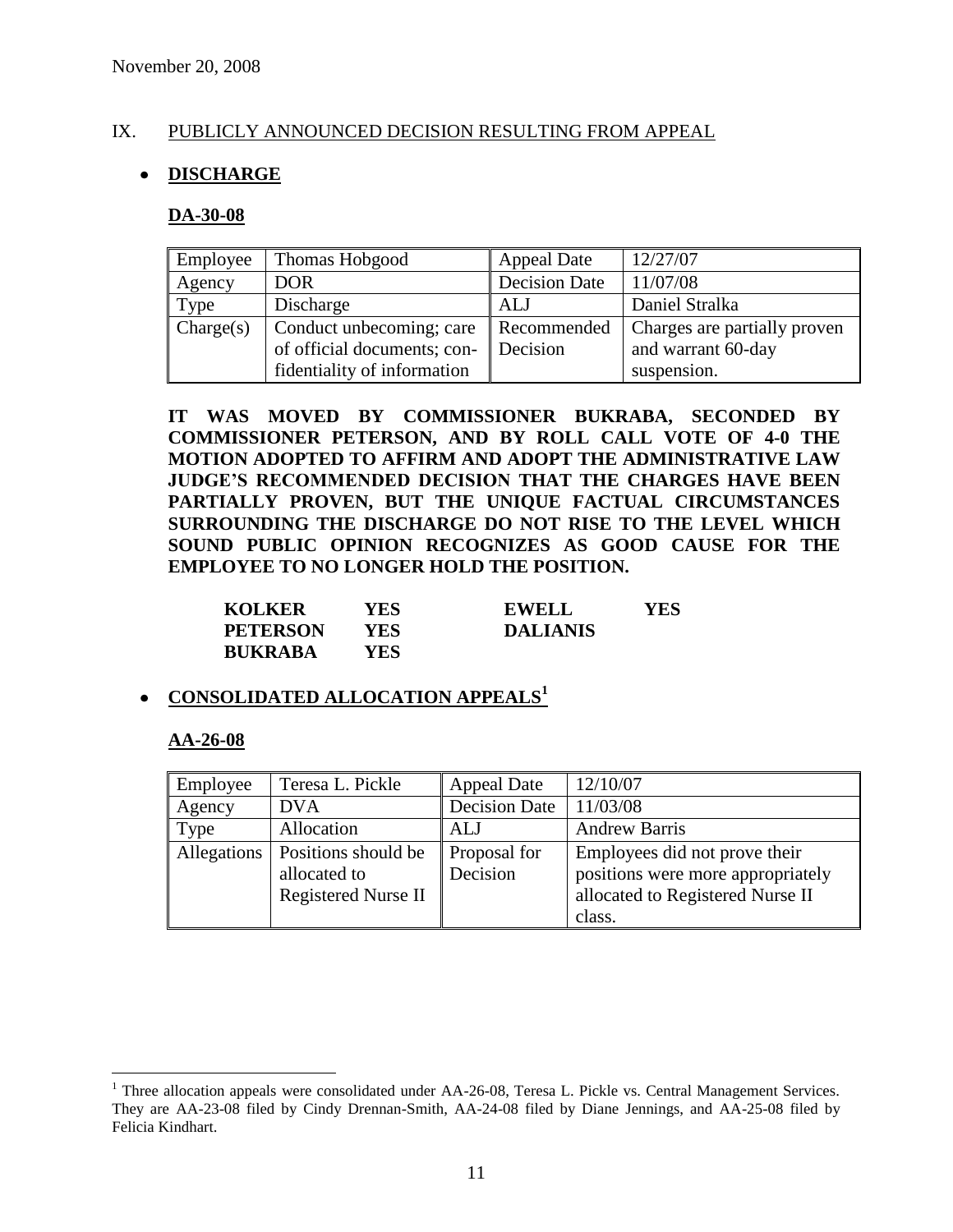# IX. PUBLICLY ANNOUNCED DECISION RESULTING FROM APPEAL

# **DISCHARGE**

#### **DA-30-08**

| Employee  | Thomas Hobgood                                          | <b>Appeal Date</b>      | 12/27/07                                           |
|-----------|---------------------------------------------------------|-------------------------|----------------------------------------------------|
| Agency    | <b>DOR</b>                                              | <b>Decision Date</b>    | 11/07/08                                           |
| Type      | Discharge                                               | ALJ                     | Daniel Stralka                                     |
| Change(s) | Conduct unbecoming; care<br>of official documents; con- | Recommended<br>Decision | Charges are partially proven<br>and warrant 60-day |
|           | fidentiality of information                             |                         | suspension.                                        |

**IT WAS MOVED BY COMMISSIONER BUKRABA, SECONDED BY COMMISSIONER PETERSON, AND BY ROLL CALL VOTE OF 4-0 THE MOTION ADOPTED TO AFFIRM AND ADOPT THE ADMINISTRATIVE LAW JUDGE'S RECOMMENDED DECISION THAT THE CHARGES HAVE BEEN PARTIALLY PROVEN, BUT THE UNIQUE FACTUAL CIRCUMSTANCES SURROUNDING THE DISCHARGE DO NOT RISE TO THE LEVEL WHICH SOUND PUBLIC OPINION RECOGNIZES AS GOOD CAUSE FOR THE EMPLOYEE TO NO LONGER HOLD THE POSITION.**

| <b>KOLKER</b>   | YES | <b>EWELL</b>    | YES |
|-----------------|-----|-----------------|-----|
| <b>PETERSON</b> | YES | <b>DALIANIS</b> |     |
| <b>BUKRABA</b>  | YES |                 |     |

# **CONSOLIDATED ALLOCATION APPEALS<sup>1</sup>**

#### **AA-26-08**

 $\overline{a}$ 

| Employee | Teresa L. Pickle                                                                | <b>Appeal Date</b>       | 12/10/07                                                                                                         |
|----------|---------------------------------------------------------------------------------|--------------------------|------------------------------------------------------------------------------------------------------------------|
| Agency   | <b>DVA</b>                                                                      | <b>Decision Date</b>     | 11/03/08                                                                                                         |
| Type     | Allocation                                                                      | ALJ                      | <b>Andrew Barris</b>                                                                                             |
|          | Allegations   Positions should be<br>allocated to<br><b>Registered Nurse II</b> | Proposal for<br>Decision | Employees did not prove their<br>positions were more appropriately<br>allocated to Registered Nurse II<br>class. |

<sup>&</sup>lt;sup>1</sup> Three allocation appeals were consolidated under AA-26-08, Teresa L. Pickle vs. Central Management Services. They are AA-23-08 filed by Cindy Drennan-Smith, AA-24-08 filed by Diane Jennings, and AA-25-08 filed by Felicia Kindhart.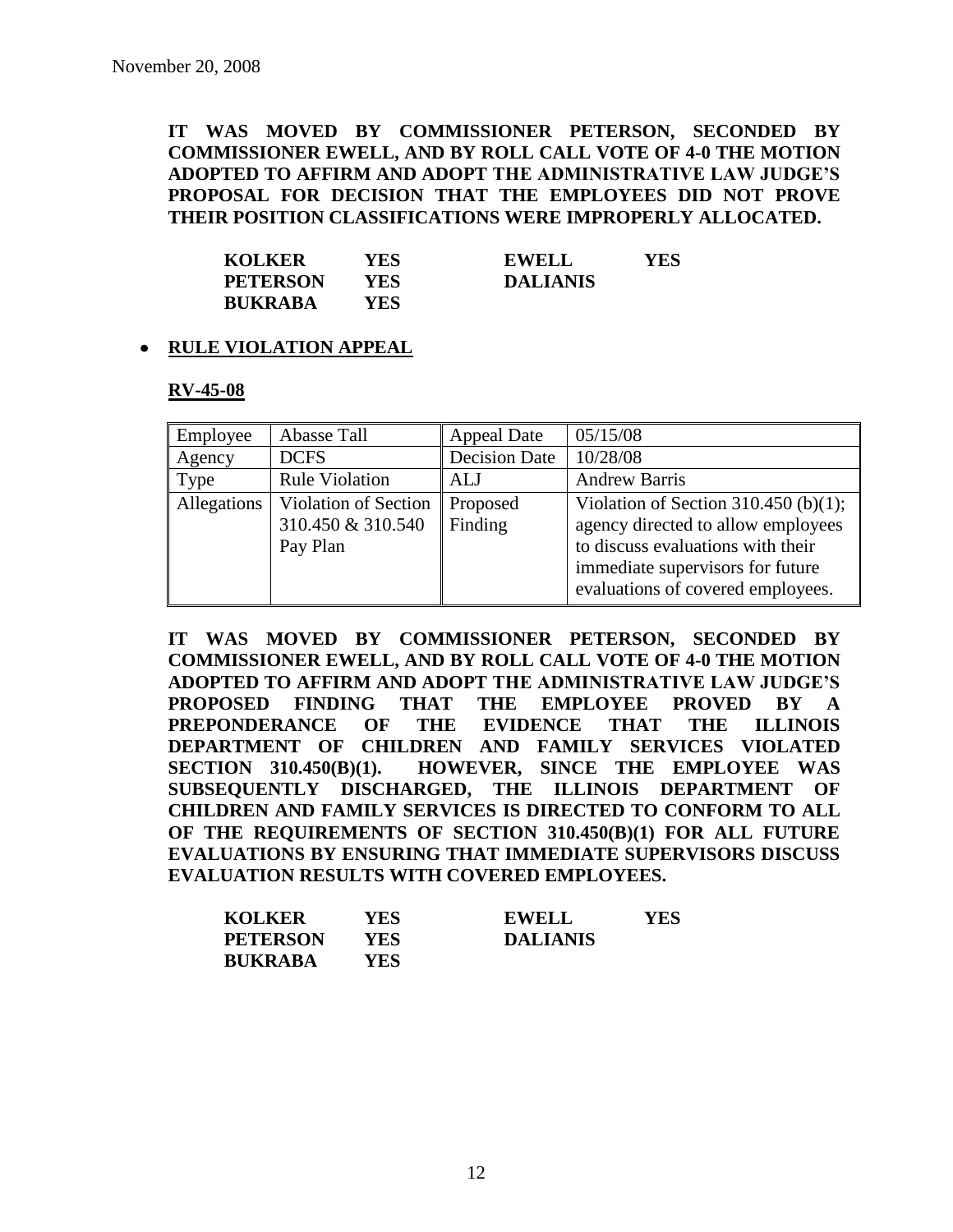**IT WAS MOVED BY COMMISSIONER PETERSON, SECONDED BY COMMISSIONER EWELL, AND BY ROLL CALL VOTE OF 4-0 THE MOTION ADOPTED TO AFFIRM AND ADOPT THE ADMINISTRATIVE LAW JUDGE'S PROPOSAL FOR DECISION THAT THE EMPLOYEES DID NOT PROVE THEIR POSITION CLASSIFICATIONS WERE IMPROPERLY ALLOCATED.**

| <b>KOLKER</b>   | YES | YES<br><b>EWELL</b> |
|-----------------|-----|---------------------|
| <b>PETERSON</b> | YES | <b>DALIANIS</b>     |
| <b>BUKRABA</b>  | YES |                     |

# **RULE VIOLATION APPEAL**

#### **RV-45-08**

| Employee           | Abasse Tall                                           | <b>Appeal Date</b>   | 05/15/08                                                                                                                                                                                 |
|--------------------|-------------------------------------------------------|----------------------|------------------------------------------------------------------------------------------------------------------------------------------------------------------------------------------|
| Agency             | <b>DCFS</b>                                           | <b>Decision Date</b> | 10/28/08                                                                                                                                                                                 |
| Type               | <b>Rule Violation</b>                                 | ALJ                  | <b>Andrew Barris</b>                                                                                                                                                                     |
| <b>Allegations</b> | Violation of Section<br>310.450 & 310.540<br>Pay Plan | Proposed<br>Finding  | Violation of Section 310.450 (b)(1);<br>agency directed to allow employees<br>to discuss evaluations with their<br>immediate supervisors for future<br>evaluations of covered employees. |

**IT WAS MOVED BY COMMISSIONER PETERSON, SECONDED BY COMMISSIONER EWELL, AND BY ROLL CALL VOTE OF 4-0 THE MOTION ADOPTED TO AFFIRM AND ADOPT THE ADMINISTRATIVE LAW JUDGE'S PROPOSED FINDING THAT THE EMPLOYEE PROVED BY A PREPONDERANCE OF THE EVIDENCE THAT THE ILLINOIS DEPARTMENT OF CHILDREN AND FAMILY SERVICES VIOLATED SECTION 310.450(B)(1). HOWEVER, SINCE THE EMPLOYEE WAS SUBSEQUENTLY DISCHARGED, THE ILLINOIS DEPARTMENT OF CHILDREN AND FAMILY SERVICES IS DIRECTED TO CONFORM TO ALL OF THE REQUIREMENTS OF SECTION 310.450(B)(1) FOR ALL FUTURE EVALUATIONS BY ENSURING THAT IMMEDIATE SUPERVISORS DISCUSS EVALUATION RESULTS WITH COVERED EMPLOYEES.**

| <b>KOLKER</b>   | YES  | <b>EWELL</b>    | YES |
|-----------------|------|-----------------|-----|
| <b>PETERSON</b> | YES  | <b>DALIANIS</b> |     |
| <b>BUKRABA</b>  | YES. |                 |     |